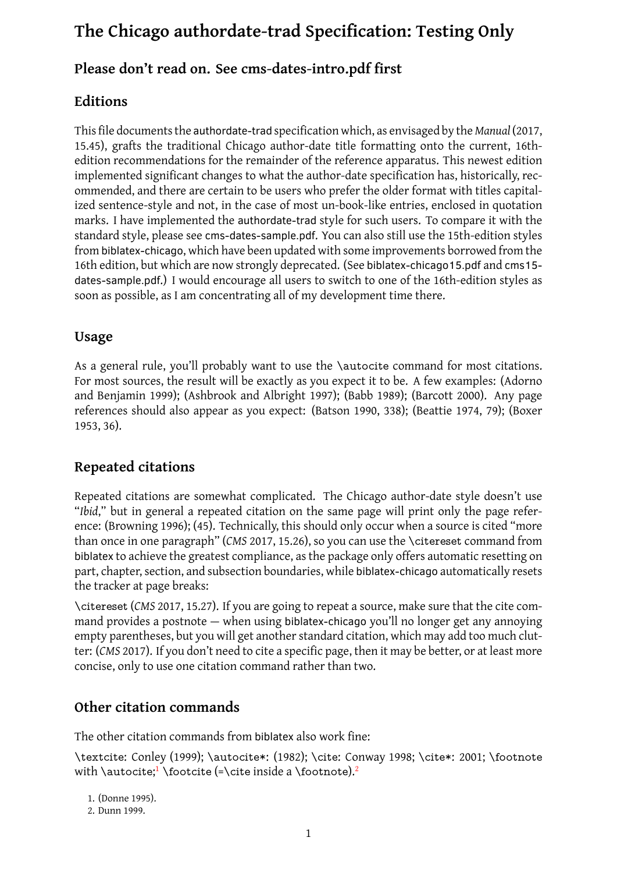# **Please don't read on. See cms-dates-intro.pdf first**

## **Editions**

This file documents the authordate-trad specification which, as envisaged by the *Manual*(2017, 15.45), grafts the traditional Chicago author-date title formatting onto the current, 16thedition recommendations for the remainder of the reference apparatus. This newest edition implemented significant changes to what the author-date specification has, historicall[y, rec](#page-15-0)ommended, and there are certain to be users who prefer the older format with titles capitalized sentence-style and not, in the case of most un-book-like entries, enclosed in quotation marks. I have implemented the authordate-trad style for such users. To compare it with the standard style, please see cms-dates-sample.pdf. You can also still use the 15th-edition styles from biblatex-chicago, which have been updated with some improvements borrowed from the 16th edition, but which are now strongly deprecated. (See biblatex-chicago15.pdf and cms15 dates-sample.pdf.) I would encourage all users to switch to one of the 16th-edition styles as soon as possible, as I am concentrating all of my development time there.

## **Usage**

As a general rule, you'll probably want to use the \autocite command for most citations. For most sources, the result will be exactly as you expect it to be. A few examples: (Adorno and Benjamin 1999); (Ashbrook and Albright 1997); (Babb 1989); (Barcott 2000). Any page references should also appear as you expect: (Batson 1990, 338); (Beattie 1974, 79); (Boxer 1953, 36).

## **[Rep](#page-7-0)eated citations**

Repeated citations are somewhat complicated. The Chicago author-date style doesn't use "*Ibid*," but in general a repeated citation on the same page will print only the page reference: (Browning 1996); (45). Technically, this should only occur when a source is cited "more than once in one paragraph" (*CMS* 2017, 15.26), so you can use the \citereset command from biblatex to achieve the greatest compliance, as the package only offers automatic resetting on part, chapter, se[ction,](#page-7-1) and subsection boundaries, while biblatex-chicago automatically resets the tracker at page breaks:

\citereset (*CMS* 2017, 15.27). If yo[u are g](#page-15-0)oing to repeat a source, make sure that the cite command provides a postnote — when using biblatex-chicago you'll no longer get any annoying empty parentheses, but you will get another standard citation, which may add too much clutter: (*CMS* 2017). [If you](#page-15-0) don't need to cite a specific page, then it may be better, or at least more concise, only to use one citation command rather than two.

## **Other c[itati](#page-15-0)on commands**

The other citation commands from biblatex also work fine:

\textcite: Conley (1999); \autocite\*: (1982); \cite: Conway 1998; \cite\*: 2001; \footnote with **\autocite;<sup>1</sup> \footcite (=\cite** inside a **\footnote).**<sup>2</sup>

1. (Donne 1995).

2. Dunn 1999.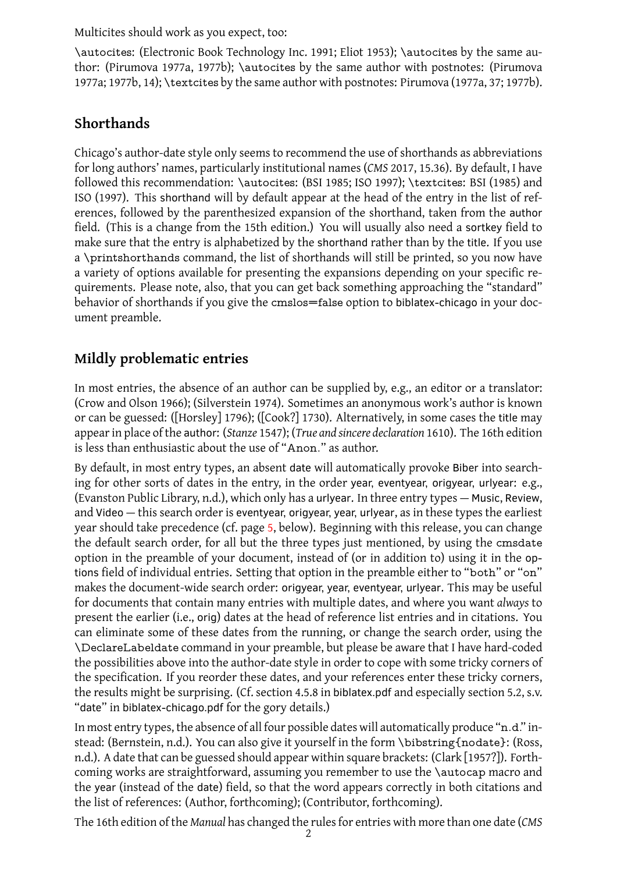\autocites: (Electronic Book Technology Inc. 1991; Eliot 1953); \autocites by the same author: (Pirumova 1977a, 1977b); \autocites by the same author with postnotes: (Pirumova 1977a; 1977b, 14); \textcites by the same author with postnotes: Pirumova (1977a, 37; 1977b).

# **[Shor](#page-13-0)[thand](#page-13-1)s**

Chicago's author-date style only seems to recommend the use of shorthands as abbreviations for long authors' names, particularly institutional names (*CMS* 2017, 15.36). By default, I have followed this recommendation: \autocites: (BSI 1985; ISO 1997); \textcites: BSI (1985) and ISO (1997). This shorthand will by default appear at the head of the entry in the list of references, followed by the parenthesized expansion of the sho[rthan](#page-15-0)d, taken from the author field. (This is a change from the 15th edition.) [You w](#page-7-2)ill u[sually](#page-10-0) also need a sortkey field to mak[e sure](#page-10-0) that the entry is alphabetized by the shorthand rather than by the title. [If you](#page-7-2) use a \printshorthands command, the list of shorthands will still be printed, so you now have a variety of options available for presenting the expansions depending on your specific requirements. Please note, also, that you can get back something approaching the "standard" behavior of shorthands if you give the cmslos=false option to biblatex-chicago in your document preamble.

# **Mildly problematic entries**

In most entries, the absence of an author can be supplied by, e.g., an editor or a translator: (Crow and Olson 1966); (Silverstein 1974). Sometimes an anonymous work's author is known or can be guessed: ([Horsley] 1796); ([Cook?] 1730). Alternatively, in some cases the title may appear in place of the author: (*Stanze* 1547); (*True and sincere declaration* 1610). The 16th edition is less than enth[usiast](#page-8-0)ic about the [use of](#page-14-0) "Anon." as author.

By default, in most entry typ[es, an](#page-10-1) absent date [wi](#page-8-1)ll automatically provoke Biber into searching for other sorts of dates in the e[ntry,](#page-14-1) in the order year, eventyea[r, orig](#page-14-2)year, urlyear: e.g., (Evanston Public Library, n.d.), which only has a urlyear. In three entry types — Music, Review, and Video — this search order is eventyear, origyear, year, urlyear, as in these types the earliest year should take precedence (cf. page 5, below). Beginning with this release, you can change the default search order, [for](#page-9-0) all but the three types just mentioned, by using the cmsdate option in the preamble of your document, instead of (or in addition to) using it in the options field of individual entries. Settin[g](#page-4-0) that option in the preamble either to "both" or "on" makes the document-wide search order: origyear, year, eventyear, urlyear. This may be useful for documents that contain many entries with multiple dates, and where you want *always* to present the earlier (i.e., orig) dates at the head of reference list entries and in citations. You can eliminate some of these dates from the running, or change the search order, using the \DeclareLabeldate command in your preamble, but please be aware that I have hard-coded the possibilities above into the author-date style in order to cope with some tricky corners of the specification. If you reorder these dates, and your references enter these tricky corners, the results might be surprising. (Cf. section 4.5.8 in biblatex.pdf and especially section 5.2, s.v. "date" in biblatex-chicago.pdf for the gory details.)

In most entry types, the absence of all four possible dates will automatically produce "n.d." instead: (Bernstein, n.d.). You can also give it yourself in the form \bibstring{nodate}: (Ross, n.d.). A date that can be guessed should appear within square brackets: (Clark [1957?]). Forthcoming works are straightforward, assuming you remember to use the \autocap macro and the year (instead [of th](#page-7-3)e date) field, so that the word appears correctly in both citations and [the](#page-13-2) list of references: (Author, forthcoming); (Contributor, forthcoming).

The 16th edition of the *Manual* has changed the rules for entries with more th[an one d](#page-7-4)ate (*CMS*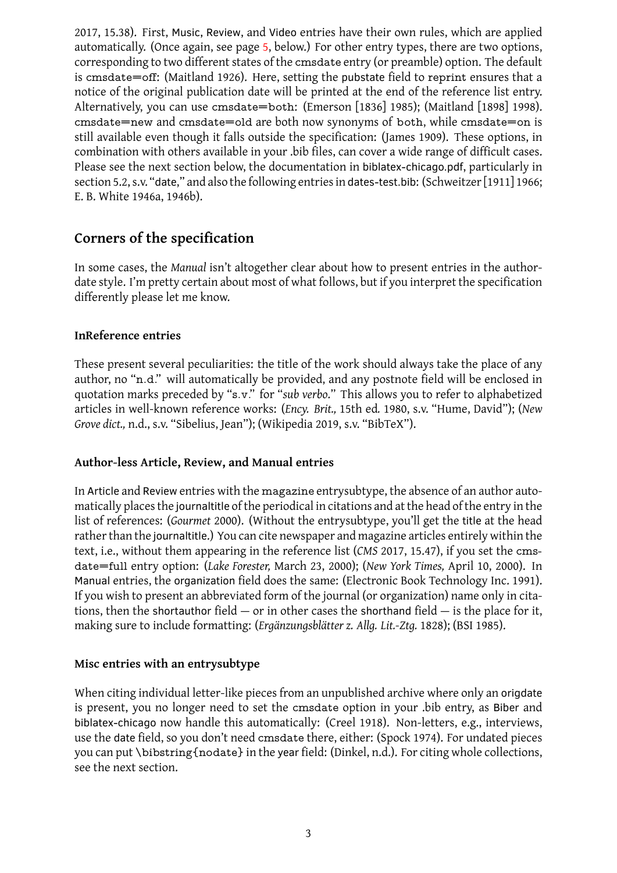automatically. (Once again, see page 5, below.) For other entry types, there are two options, corresponding to two different states of the cmsdate entry (or preamble) option. The default is cmsdate=off: (Maitland 1926). Here, setting the pubstate field to reprint ensures that a [notic](#page-15-0)e of the original publication da[te](#page-4-0) will be printed at the end of the reference list entry. Alternatively, you can use cmsdate=both: (Emerson [1836] 1985); (Maitland [1898] 1998). cmsdate=new and cmsda[te=o](#page-11-0)ld are both now synonyms of both, while cmsdate=on is still available even though it falls outside the specification: (James 1909). These options, in combination with others available in your .bib files, ca[n cover a wid](#page-9-1)e range of d[ifficult cases](#page-11-1). Please see the next section below, the documentation in biblatex-chicago.pdf, particularly in section 5.2, s.v. "date," and also the following entries in dates-test.bib: [\(Sch](#page-10-2)weitzer[1911] 1966; E. B. White 1946a, 1946b).

## **Corners [of th](#page-15-1)[e spec](#page-15-2)ification**

In some cases, the *Manual* isn't altogether clear about how to present entries in the authordate style. I'm pretty certain about most of what follows, but if you interpret the specification differently please let me know.

#### **InReference entries**

These present several peculiarities: the title of the work should always take the place of any author, no "n.d." will automatically be provided, and any postnote field will be enclosed in quotation marks preceded by "s.v." for "*sub verbo*." This allows you to refer to alphabetized articles in well-known reference works: (*Ency. Brit.,* 15th ed*.* 1980, s.v. "Hume, David"); (*New Grove dict.,* n.d., s.v. "Sibelius, Jean"); (Wikipedia 2019, s.v. "BibTeX").

#### **Author-le[ss A](#page-12-0)rticle, Review, and Manual entries**

In Article and Review entries with the magazine entrysubtype, the absence of an author automatically places the journaltitle of the periodical in citations and at the head of the entry in the list of references: (*Gourmet* 2000). (Without the entrysubtype, you'll get the title at the head rather than the journaltitle.) You can cite newspaper and magazine articles entirely within the text, i.e., without them appearing in the reference list (*CMS* 2017, 15.47), if you set the cmsdate=full entry option: (*L[ake F](#page-9-2)orester,* March 23, 2000); (*New York Times,* April 10, 2000). In Manual entries, the organization field does the same: (Electronic Book Technology Inc. 1991). If you wish to present an abbreviated form of the journal (or [organ](#page-15-0)ization) name only in citations, then the shortauthor field  $-$  or i[n other cases th](#page-11-2)e shorthand field  $-$  is the place for it, making sure to include formatting: (*Ergänzungsblätter z. Allg. Lit.-Ztg.* 1828); (BSI 1985).

#### **Misc entries with an entrysubtype**

When citing individual letter-like pieces from an unpublished archiv[e whe](#page-9-3)re on[ly an](#page-7-2) origdate is present, you no longer need to set the cmsdate option in your .bib entry, as Biber and biblatex-chicago now handle this automatically: (Creel 1918). Non-letters, e.g., interviews, use the date field, so you don't need cmsdate there, either: (Spock 1974). For undated pieces you can put \bibstring{nodate} in the year field: (Dinkel, n.d.). For citing whole collections, see the next section.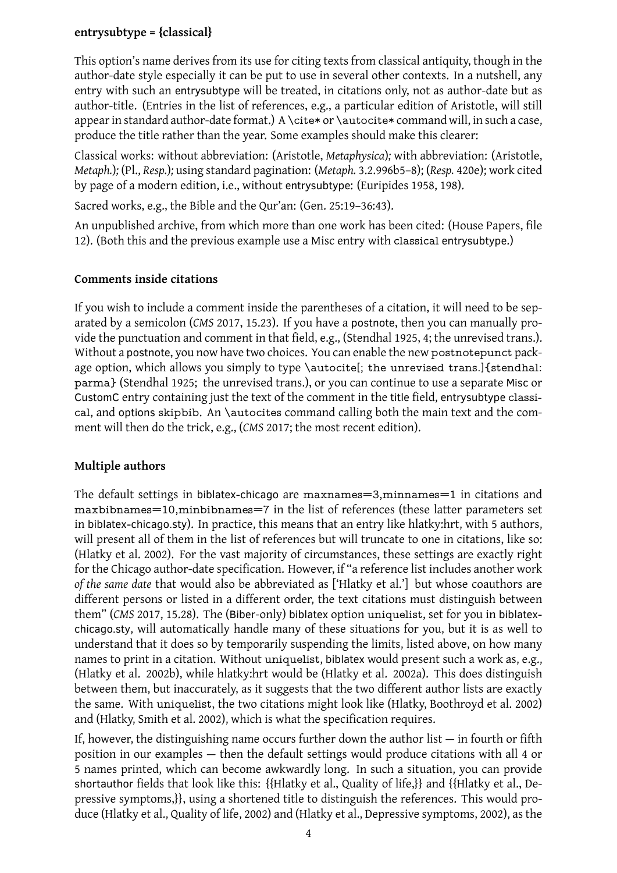This option's name derives from its use for citing texts from classical antiquity, though in the author-date style especially it can be put to use in several other contexts. In a nutshell, any entry with such an entrysubtype will be treated, in citations only, not as author-date but as author-title. (Entries in the list of references, e.g., a particular edition of Aristotle, will still appear in standard author-date format.) A \cite\* or \autocite\* command will, in such a case, produce the title rather than the year. Some examples should make this clearer:

Classical works: without abbreviation: (Aristotle, *Metaphysica*)*;* with abbreviation: (Aristotle, *Metaph.*)*;* (Pl., *Resp.*)*;* using standard pagination: (*Metaph.* 3.2.996b5–8); (*Resp.* 420e); work cited by page of a modern edition, i.e., without entrysubtype: (Euripides 1958, 198).

Sacred works, e.g., the Bible and the Qur'an: (Gen. [25:19–36:43](#page-6-0)).

An unpublish[ed ar](#page-13-3)chive, from which more than one work has been cit[ed: \(H](#page-13-3)ouse Papers, file 12). (Both this and the previous example use a Misc entry with cla[ssica](#page-9-4)l entrysubtype.)

#### **Comments inside citations**

If you wish to include a comment inside the parentheses of a citation, it will need to be separated by a semicolon (*CMS* 2017, 15.23). If you have a postnote, then you can manually provide the punctuation and comment in that field, e.g., (Stendhal 1925, 4; the unrevised trans.). Without a postnote, you now have two choices. You can enable the new postnotepunct package option, which allows y[ou sim](#page-15-0)ply to type \autocite[; the unrevised trans.]{stendhal: parma} (Stendhal 1925; the unrevised trans.), or you can cont[inue](#page-14-3) to use a separate Misc or CustomC entry containing just the text of the comment in the title field, entrysubtype classical, and options skipbib. An \autocites command calling both the main text and the comment will then do [the tr](#page-14-3)ick, e.g., (*CMS* 2017; the most recent edition).

## **Multiple authors**

The default settings in biblatex-chicago are maxnames=3,minnames=1 in citations and maxbibnames=10,minbibnames=7 in the list of references (these latter parameters set in biblatex-chicago.sty). In practice, this means that an entry like hlatky:hrt, with 5 authors, will present all of them in the list of references but will truncate to one in citations, like so: (Hlatky et al. 2002). For the vast majority of circumstances, these settings are exactly right for the Chicago author-date specification. However, if "a reference list includes another work *of the same date* that would also be abbreviated as ['Hlatky et al.'] but whose coauthors are different per[sons o](#page-10-3)r listed in a different order, the text citations must distinguish between them" (*CMS* 2017, 15.28). The (Biber-only) biblatex option uniquelist, set for you in biblatexchicago.sty, will automatically handle many of these situations for you, but it is as well to understand that it does so by temporarily suspending the limits, listed above, on how many names to pr[int in](#page-15-0) a citation. Without uniquelist, biblatex would present such a work as, e.g., (Hlatky et al. 2002b), while hlatky:hrt would be (Hlatky et al. 2002a). This does distinguish between them, but inaccurately, as it suggests that the two different author lists are exactly the same. With uniquelist, the two citations might look like (Hlatky, Boothroyd et al. 2002) and (Hlatky, Smith et al. 2002), which is what the specification requires.

If, however, the distinguishing name occurs further down the author list — in fourth or fifth position in our examples — then the default settings would produce citations with all 4 or 5 names printed, which can become awkwardly long. In such a situation, you can provide shortauthor fields that look like this: {{Hlatky et al., Quality of life,}} and {{Hlatky et al., Depressive symptoms,}}, using a shortened title to distinguish the references. This would produce (Hlatky et al., Quality of life, 2002) and (Hlatky et al., Depressive symptoms, 2002), as the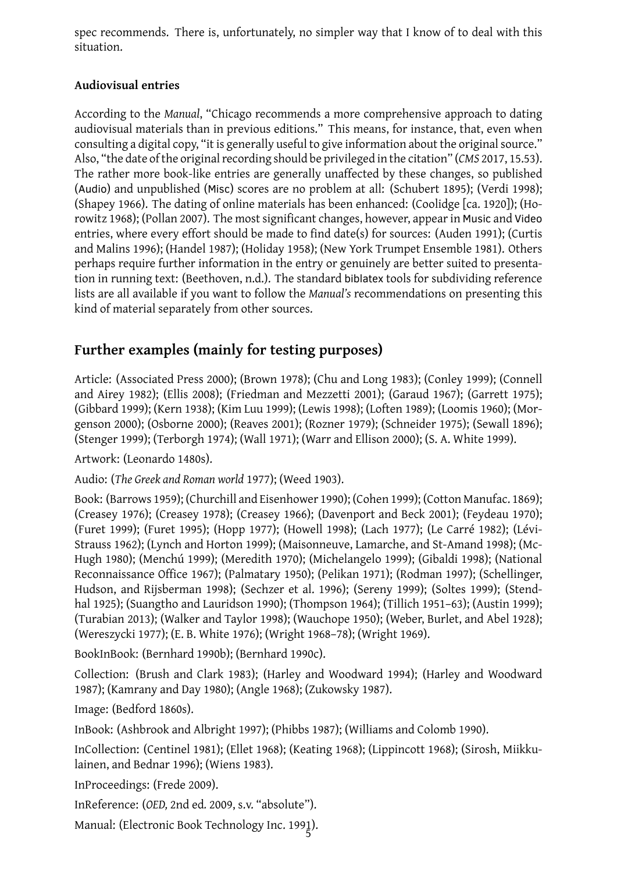## **Audiovisual entries**

<span id="page-4-0"></span>According to the *Manual*, "Chicago recommends a more comprehensive approach to dating audiovisual materials than in previous editions." This means, for instance, that, even when consulting a digital copy, "it is generally useful to give information about the original source." Also, "the date of the original recording should be privileged in the citation" (*CMS* 2017, 15.53). The rather more book-like entries are generally unaffected by these changes, so published (Audio) and unpublished (Misc) scores are no problem at all: (Schubert 1895); (Verdi 1998); (Shapey 1966). The dating of online materials has been enhanced: (Coolidge [ca. [1920](#page-15-0)]); (Horowitz 1968); (Pollan 2007). The most significant changes, however, appear in Music and Video entries, where every effort should be made to find date(s) for sources: ([Auden](#page-13-4) 1991);([Curti](#page-15-4)s and Malins 1996); (Handel 1987); (Holiday 1958); (New York Trumpet Ensemble 1981). Others perha[ps re](#page-10-4)[qu](#page-14-4)ire furt[her in](#page-13-5)formation in the entry or genuinely are better sui[ted to pre](#page-8-2)sentation in running text: (Beethoven, n.d.). The standard biblatex tools for subdivid[ing r](#page-6-1)eference lists are all [avail](#page-8-3)able if yo[u wan](#page-10-5)t to follow the *Manual's* recommendations on p[resen](#page-12-2)ting this kind of material separately from other so[urces.](#page-10-6)

# **Further examples (mainly for testing purposes)**

Article: (Associated Press 2000); (Brown 1978); (Chu and Long 1983); (Conley 1999); (Connell and Airey 1982); (Ellis 2008); (Friedman and Mezzetti 2001); (Garaud 1967); (Garrett 1975); (Gibbard 1999); (Kern 1938); (Kim Luu 1999); (Lewis 1998); (Loften 1989); (Loomis 1960); (Morgenson 2000); (Osborne 2[000\);](#page-6-2) (Reaves 2[001\);](#page-7-5) (Rozner 1979); (S[chne](#page-7-6)ider 1975[\); \(Sew](#page-7-7)all 1896); (Stenger 1[999\);](#page-7-8) (Terbor[gh](#page-8-4) 1974); (Wall 1971); (Warr and [Elliso](#page-9-5)n 2000); ([S. A. W](#page-9-6)hite 1999[\).](#page-9-7)

Artwork: [\(Leo](#page-9-8)nardo 1[480s\)](#page-10-7).

Audio: (*[The G](#page-12-3)reek and Ro[man w](#page-12-4)orld* 1977[\); \(We](#page-13-6)ed 1903).

Book: (B[arrow](#page-14-5)s 1959); (Ch[urchil](#page-14-6)l and Ei[senh](#page-15-5)ower 1990); (Cohen [1999\)](#page-15-6); (Cotton Man[ufac.](#page-15-7) 1869); (Creasey 1976); (Cre[asey](#page-11-3) 1978); (Creasey 1966); (Davenport and Beck 2001); (Feydeau 1970); (Furet 1999); (Furet 1995); (Hopp [1977](#page-9-9)); (Howell [19](#page-15-8)98); (Lach 1977); (Le Carré 1982); (Lévi-Strauss 1962); ([Lynch](#page-6-3) and Horton 1999); (Maison[neuv](#page-7-9)e, Lamar[che, a](#page-7-10)nd St-Amand 1998[\); \(Mc](#page-8-5)-Hugh 19[80\); \(M](#page-8-6)enchú 19[99\); \(M](#page-8-7)eredith 1[970\);](#page-8-8) (Michelangelo 1999); ([Gibald](#page-8-9)i 1998); (N[ationa](#page-9-10)l Recon[naissa](#page-9-11)nce Office 1967); (Pal[matar](#page-10-8)y 1950); ([Pelika](#page-10-9)n 1971)[; \(Rod](#page-11-4)man 1997); [\(Sche](#page-11-5)llinger, Hudson[, and](#page-11-6) Rijsbe[rman](#page-9-12) 1998);([Sechz](#page-11-7)er et al. 1996); (Sereny 1999); (Soltes 19[99\); \(S](#page-11-8)tendhal 19[25\); \(](#page-11-9)Suangtho a[nd La](#page-11-10)uridson 199[0\); \(T](#page-11-11)hompson 1964); [\(Tillic](#page-11-12)h 1951–6[3\); \(Au](#page-9-13)stin 1999); (Turabian 2013); (Walk[er an](#page-12-5)d Taylor 1998[\); \(Wa](#page-12-6)uchope 1[950\); \(](#page-12-7)Weber, Bu[rlet, a](#page-13-7)nd Abel 1928); (Wereszycki 1977); (E. B. [White](#page-13-8) 1976); (Wright 1[968–7](#page-14-7)8); (Wright [1969](#page-14-8)).

Bo[okInB](#page-14-3)ook: (Bernhard 1990b); (Be[rnhar](#page-14-9)d 1990c).

Collection[: \(Br](#page-14-10)ush and Clark 1983); [\(Har](#page-15-9)ley and Woo[dwar](#page-15-10)d 19[94\); \(](#page-16-0)Harley and Woo[dwar](#page-15-11)d 1987); (Kam[rany a](#page-15-12)nd Day 1980)[; \(Ang](#page-15-13)le 1968); [\(Zukowsk](#page-15-14)y 1987).

Image: (Bedford 1860s).

InBook: (Ashbrook and Albright [199](#page-7-11)7); (Phibbs 1987); (Willia[ms and](#page-10-10) Colomb 1990).

[InCo](#page-10-11)llection: (Centinel 1[981\); \(](#page-10-12)Ellet 19[68\); \(K](#page-6-4)eating 1968[\); \(Lip](#page-16-1)pincott 1968); (Sirosh, Miikkulainen, and Bednar [199](#page-6-5)6); (Wiens 1983).

InProceedings: (Frede 2009).

InReference: (*OED,* 2nd [ed](#page-7-12)*.* 2009, s.v. ["abso](#page-8-10)lute").

Manual: (Electroni[c Boo](#page-14-11)[k T](#page-9-14)echno[logy](#page-15-15) Inc. 199<u>1)</u>.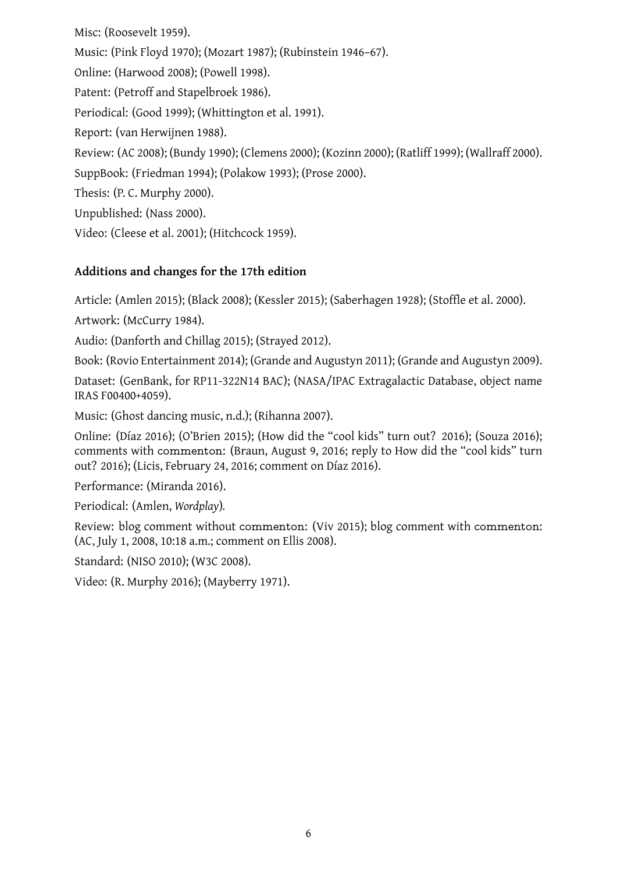Music: (Pink Floyd 1970); (Mozart 1987); (Rubinstein 1946–67). Online: (Harwood 2008); (Powell 1998). Patent: (Petroff [and S](#page-13-9)tapelbroek 1986). Periodical: (Good 1[999\);](#page-12-8) (Whitti[ng](#page-13-10)[ton e](#page-12-9)t al. 1991). Report: (van Her[wijnen](#page-10-13) 1988). Review: (AC 2008); (Bundy 1990); [\(Clem](#page-12-10)ens 2000); (Kozinn 2000); (Ratliff 1999); (Wallraff 2000). SuppBook: (Fried[man](#page-9-15) 1994); (Polakow 1993[\); \(Pro](#page-15-16)se 2000). Thesis: (P. C. Murphy 20[00\).](#page-15-17) Unpublishe[d: \(Na](#page-6-6)ss 2000). Video: (Cleese et al. 2[0](#page-12-11)[01\); \(](#page-9-16)Hitchcock [1959\)](#page-13-11).

## **Additions and cha[nges](#page-12-12) for the 17th [editi](#page-10-14)on**

Article: (Amlen 2015); (Black 2008); (Kessler 2015); (Saberhagen 1928); (Stoffle et al. 2000).

Artwork: (McCurry 1984).

Audio: (Danforth and Chillag 2015); (Strayed 2012).

Book: (Rovio En[terta](#page-6-7)inment [2014\)](#page-7-15); (Grande [and A](#page-11-13)ugustyn 2011); [\(Gran](#page-13-12)de and Augus[tyn](#page-14-12) 2009).

Dataset: (GenBank, [for R](#page-11-14)P11-[322N](#page-8-11)14 BAC); ([NASA](#page-14-13)/IPAC Extragalactic Database, object name IRAS F00400+4059).

Music: (Ghost dancing music, [n.d](#page-13-13).); (Rihanna 2007).

Online: (Díaz 2016); (O'Brien [2015\); \(How](#page-9-17) did the "cool kids" turn out? 2016); (Souza [2016\);](#page-12-13) [comments with](#page-12-13) commenton: (Braun, August 9, 2016; reply to How did the "cool kids" turn out? 2016); (Licis, February 24[, 201](#page-9-18)6; comme[nt on](#page-13-14) Díaz 2016).

Performance: [\(Mir](#page-8-12)anda 2016)[.](#page-12-14)

Periodical: (Amlen, *Wordplay*)*.*

Revi[ew: b](#page-10-15)log comment without commenton: (Viv 20[15\); b](#page-8-12)log comment with commenton: (AC, July 1, 2008, 10:18 a[.m.; c](#page-11-15)omment on Ellis 2008).

Standard: (NISO 20[10\); \(W3C](#page-6-8) 2008).

Video: (R. Murphy 2016); (Mayberry 1971).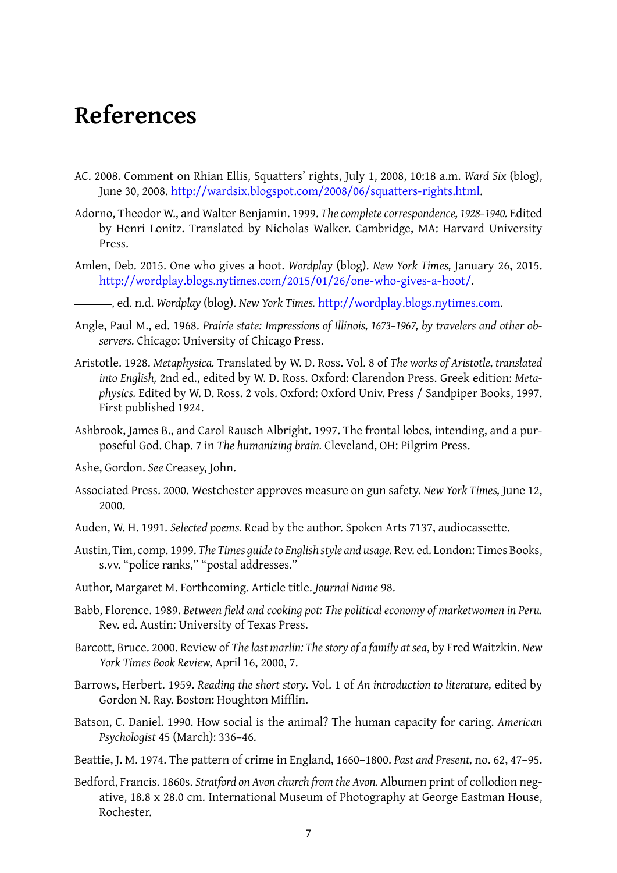# **References**

- AC. 2008. Comment on Rhian Ellis, Squatters' rights, July 1, 2008, 10:18 a.m. *Ward Six* (blog), June 30, 2008. http://wardsix.blogspot.com/2008/06/squatters-rights.html.
- <span id="page-6-6"></span>Adorno, Theodor W., and Walter Benjamin. 1999. *The complete correspondence, 1928–1940.* Edited by Henri Lon[itz. Translated by Nicholas Walker. Cambridge, MA: Harvard](http://wardsix.blogspot.com/2008/06/squatters-rights.html) University Press.
- Amlen, Deb. 2015. One who gives a hoot. *Wordplay* (blog). *New York Times,* January 26, 2015. http://wordplay.blogs.nytimes.com/2015/01/26/one-who-gives-a-hoot/.

, ed. n.d. *Wordplay* (blog). *New York Times.* http://wordplay.blogs.nytimes.com.

- <span id="page-6-7"></span>Angle, Paul M., ed. 1968. *[Prairie state: Impressions of Illinois, 1673–1967, by traveler](http://wordplay.blogs.nytimes.com/2015/01/26/one-who-gives-a-hoot/)s and other observers.* Chicago: University of Chicago Press.
- <span id="page-6-8"></span><span id="page-6-4"></span>Aristotle. 1928. *Metaphysica.* Translated by W. D. Ross. Vol. 8 of *[The works of Aristotle, tr](http://wordplay.blogs.nytimes.com)anslated into English,* 2nd ed., edited by W. D. Ross. Oxford: Clarendon Press. Greek edition: *Metaphysics.* Edited by W. D. Ross. 2 vols. Oxford: Oxford Univ. Press / Sandpiper Books, 1997. First published 1924.
- <span id="page-6-0"></span>Ashbrook, James B., and Carol Rausch Albright. 1997. The frontal lobes, intending, and a purposeful God. Chap. 7 in *The humanizing brain.* Cleveland, OH: Pilgrim Press.
- Ashe, Gordon. *See* Creasey, John.
- Associated Press. 2000. Westchester approves measure on gun safety. *New York Times,* June 12, 2000.
- Auden, W. H. 1991. *Selected poems.* Read by the author. Spoken Arts 7137, audiocassette.
- <span id="page-6-2"></span>Austin, Tim, comp. 1999. *The Times guide to English style and usage.* Rev. ed. London: Times Books, s.vv. "police ranks," "postal addresses."
- <span id="page-6-1"></span>Author, Margaret M. Forthcoming. Article title. *Journal Name* 98.
- Babb, Florence. 1989. *Between field and cooking pot: The political economy of marketwomen in Peru.* Rev. ed. Austin: University of Texas Press.
- Barcott, Bruce. 2000. Review of *The last marlin: The story of a family at sea*, by Fred Waitzkin. *New York Times Book Review,* April 16, 2000, 7.
- Barrows, Herbert. 1959. *Reading the short story.* Vol. 1 of *An introduction to literature,* edited by Gordon N. Ray. Boston: Houghton Mifflin.
- <span id="page-6-3"></span>Batson, C. Daniel. 1990. How social is the animal? The human capacity for caring. *American Psychologist* 45 (March): 336–46.
- Beattie, J. M. 1974. The pattern of crime in England, 1660–1800. *Past and Present,* no. 62, 47–95.
- <span id="page-6-5"></span>Bedford, Francis. 1860s. *Stratford on Avon church from the Avon.* Albumen print of collodion negative, 18.8 x 28.0 cm. International Museum of Photography at George Eastman House, Rochester.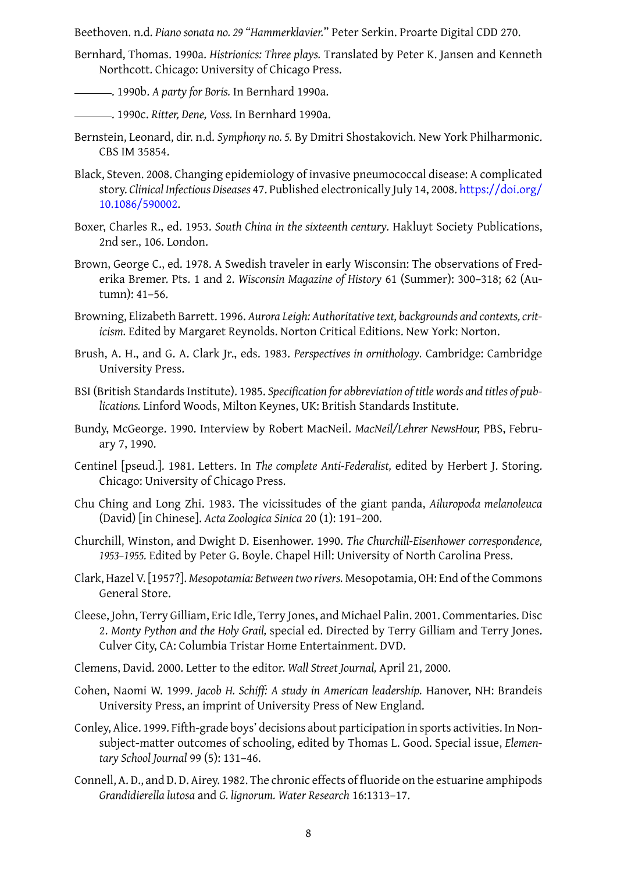Bernhard, Thomas. 1990a. *Histrionics: Three plays.* Translated by Peter K. Jansen and Kenneth Northcott. Chicago: University of Chicago Press.

. 1990b. *A party for Boris.* In Bernhard 1990a.

<span id="page-7-16"></span>. 1990c. *Ritter, Dene, Voss.* In Bernhard 1990a.

- Bernstein, Leonard, dir. n.d. *Symphony no. 5.* [By Dm](#page-7-16)itri Shostakovich. New York Philharmonic. CBS IM 35854.
- <span id="page-7-3"></span>Black, Steven. 2008. Changing epidemiology [of inva](#page-7-16)sive pneumococcal disease: A complicated story. *Clinical Infectious Diseases* 47. Published electronically July 14, 2008. https://doi.org/ 10.1086/590002.
- <span id="page-7-15"></span>Boxer, Charles R., ed. 1953. *South China in the sixteenth century.* Hakluyt Soci[ety Publications,](https://doi.org/10.1086/590002) 2nd ser., 106. London.
- <span id="page-7-0"></span>Bro[wn, George C., ed](https://doi.org/10.1086/590002). 1978. A Swedish traveler in early Wisconsin: The observations of Frederika Bremer. Pts. 1 and 2. *Wisconsin Magazine of History* 61 (Summer): 300–318; 62 (Autumn): 41–56.
- <span id="page-7-5"></span>Browning, Elizabeth Barrett. 1996. *Aurora Leigh: Authoritative text, backgrounds and contexts, criticism.* Edited by Margaret Reynolds. Norton Critical Editions. New York: Norton.
- <span id="page-7-1"></span>Brush, A. H., and G. A. Clark Jr., eds. 1983. *Perspectives in ornithology.* Cambridge: Cambridge University Press.
- <span id="page-7-11"></span>BSI (British Standards Institute). 1985. *Specification for abbreviation of title words and titles of publications.* Linford Woods, Milton Keynes, UK: British Standards Institute.
- <span id="page-7-2"></span>Bundy, McGeorge. 1990. Interview by Robert MacNeil. *MacNeil/Lehrer NewsHour,* PBS, February 7, 1990.
- <span id="page-7-13"></span>Centinel [pseud.]. 1981. Letters. In *The complete Anti-Federalist,* edited by Herbert J. Storing. Chicago: University of Chicago Press.
- <span id="page-7-12"></span>Chu Ching and Long Zhi. 1983. The vicissitudes of the giant panda, *Ailuropoda melanoleuca* (David) [in Chinese]. *Acta Zoologica Sinica* 20 (1): 191–200.
- <span id="page-7-6"></span>Churchill, Winston, and Dwight D. Eisenhower. 1990. *The Churchill-Eisenhower correspondence, 1953–1955.* Edited by Peter G. Boyle. Chapel Hill: University of North Carolina Press.
- <span id="page-7-9"></span>Clark, Hazel V. [1957?]. *Mesopotamia: Between two rivers.* Mesopotamia, OH: End of the Commons General Store.
- <span id="page-7-4"></span>Cleese, John, Terry Gilliam, Eric Idle, Terry Jones, and Michael Palin. 2001. Commentaries. Disc 2. *Monty Python and the Holy Grail,* special ed. Directed by Terry Gilliam and Terry Jones. Culver City, CA: Columbia Tristar Home Entertainment. DVD.
- <span id="page-7-14"></span>Clemens, David. 2000. Letter to the editor. *Wall Street Journal,* April 21, 2000.
- Cohen, Naomi W. 1999. *Jacob H. Schiff: A study in American leadership.* Hanover, NH: Brandeis University Press, an imprint of University Press of New England.
- <span id="page-7-10"></span>Conley, Alice. 1999. Fifth-grade boys' decisions about participation in sports activities. In Nonsubject-matter outcomes of schooling, edited by Thomas L. Good. Special issue, *Elementary School Journal* 99 (5): 131–46.
- <span id="page-7-8"></span><span id="page-7-7"></span>Connell, A. D., and D. D. Airey. 1982. The chronic effects of fluoride on the estuarine amphipods *Grandidierella lutosa* and *G. lignorum. Water Research* 16:1313–17.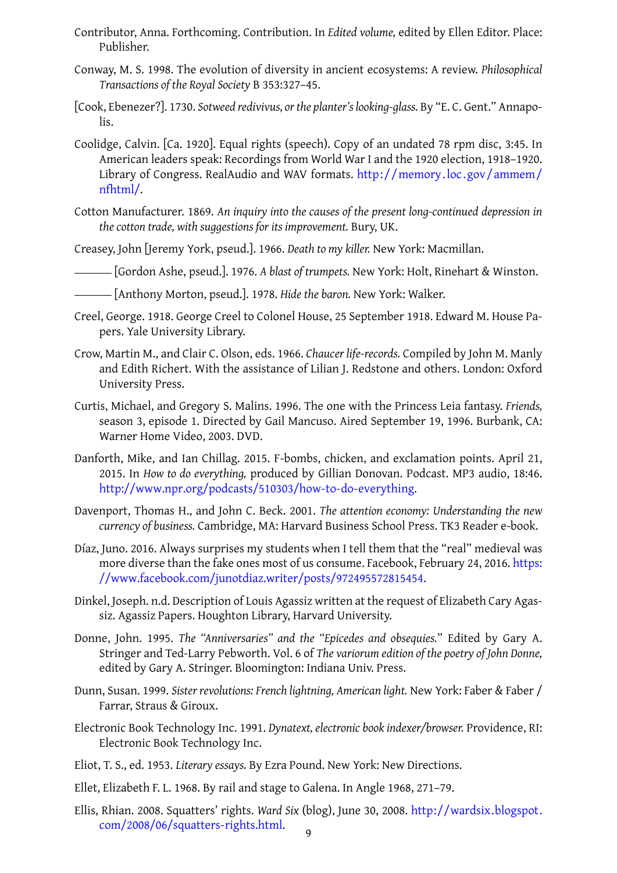- Conway, M. S. 1998. The evolution of diversity in ancient ecosystems: A review. *Philosophical Transactions of the Royal Society* B 353:327–45.
- [Cook, Ebenezer?]. 1730. *Sotweed redivivus, or the planter's looking-glass.* By "E. C. Gent." Annapolis.
- <span id="page-8-1"></span>Coolidge, Calvin. [Ca. 1920]. Equal rights (speech). Copy of an undated 78 rpm disc, 3:45. In American leaders speak: Recordings from World War I and the 1920 election, 1918–1920. Library of Congress. RealAudio and WAV formats. http://memory.loc.gov/ammem/ nfhtml/.
- <span id="page-8-2"></span>Cotton Manufacturer. 1869. *An inquiry into the causes of the present long-continued depression in the cotton trade, with suggestions for its improvement.* [Bury, UK.](http://memory.loc.gov/ammem/nfhtml/)

Crea[sey, John](http://memory.loc.gov/ammem/nfhtml/) [Jeremy York, pseud.]. 1966. *Death to my killer.* New York: Macmillan.

- <span id="page-8-5"></span>[Gordon Ashe, pseud.]. 1976. *A blast of trumpets.* New York: Holt, Rinehart & Winston.
- <span id="page-8-8"></span>[Anthony Morton, pseud.]. 1978. *Hide the baron.* New York: Walker.
- <span id="page-8-6"></span>Creel, George. 1918. George Creel to Colonel House, 25 September 1918. Edward M. House Papers. Yale University Library.
- <span id="page-8-7"></span>Crow, Martin M., and Clair C. Olson, eds. 1966. *Chaucer life-records.* Compiled by John M. Manly and Edith Richert. With the assistance of Lilian J. Redstone and others. London: Oxford University Press.
- <span id="page-8-0"></span>Curtis, Michael, and Gregory S. Malins. 1996. The one with the Princess Leia fantasy. *Friends,* season 3, episode 1. Directed by Gail Mancuso. Aired September 19, 1996. Burbank, CA: Warner Home Video, 2003. DVD.
- <span id="page-8-3"></span>Danforth, Mike, and Ian Chillag. 2015. F-bombs, chicken, and exclamation points. April 21, 2015. In *How to do everything,* produced by Gillian Donovan. Podcast. MP3 audio, 18:46. http://www.npr.org/podcasts/510303/how-to-do-everything.
- <span id="page-8-11"></span>Davenport, Thomas H., and John C. Beck. 2001. *The attention economy: Understanding the new currency of business.* Cambridge, MA: Harvard Business School Press. TK3 Reader e-book.
- <span id="page-8-9"></span>Díaz, [Juno. 2016. Always surprises my students when I tell them tha](http://www.npr.org/podcasts/510303/how-to-do-everything)t the "real" medieval was more diverse than the fake ones most of us consume. Facebook, February 24, 2016. https: //www.facebook.com/junotdiaz.writer/posts/972495572815454.
- <span id="page-8-12"></span>Dinkel, Joseph. n.d. Description of Louis Agassiz written at the request of Elizabeth Cary [Agas](https://www.facebook.com/junotdiaz.writer/posts/972495572815454)siz. Agassiz Papers. Houghton Library, Harvard University.
- Donne, John. 1995. *[The "Anniversaries" and the "Epicedes and obsequi](https://www.facebook.com/junotdiaz.writer/posts/972495572815454)es.*" Edited by Gary A. Stringer and Ted-Larry Pebworth. Vol. 6 of *The variorum edition of the poetry of John Donne,* edited by Gary A. Stringer. Bloomington: Indiana Univ. Press.
- Dunn, Susan. 1999. *Sister revolutions: French lightning, American light.* New York: Faber & Faber / Farrar, Straus & Giroux.
- Electronic Book Technology Inc. 1991. *Dynatext, electronic book indexer/browser.* Providence, RI: Electronic Book Technology Inc.
- Eliot, T. S., ed. 1953. *Literary essays.* By Ezra Pound. New York: New Directions.
- Ellet, Elizabeth F. L. 1968. By rail and stage to Galena. In Angle 1968, 271–79.
- <span id="page-8-10"></span><span id="page-8-4"></span>Ellis, Rhian. 2008. Squatters' rights. *Ward Six* (blog), June 30, 2008. http://wardsix.blogspot. com/2008/06/squatters-rights.html.  $\overline{q}$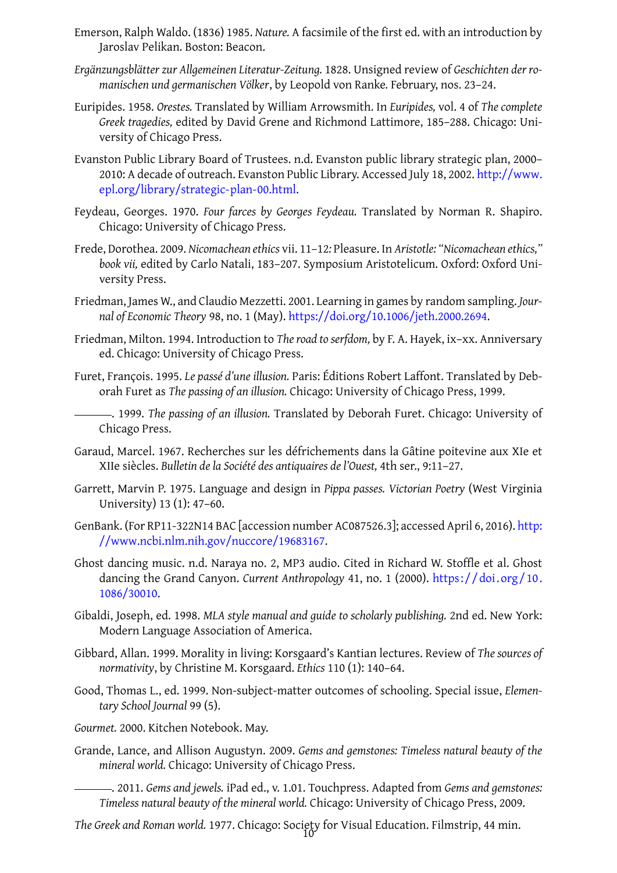<span id="page-9-1"></span>*Ergänzungsblätter zur Allgemeinen Literatur-Zeitung.* 1828. Unsigned review of *Geschichten der romanischen und germanischen Völker*, by Leopold von Ranke*.* February, nos. 23–24.

Jaroslav Pelikan. Boston: Beacon.

- <span id="page-9-3"></span>Euripides. 1958. *Orestes.* Translated by William Arrowsmith. In *Euripides,* vol. 4 of *The complete Greek tragedies,* edited by David Grene and Richmond Lattimore, 185–288. Chicago: University of Chicago Press.
- <span id="page-9-4"></span>Evanston Public Library Board of Trustees. n.d. Evanston public library strategic plan, 2000– 2010: A decade of outreach. Evanston Public Library. Accessed July 18, 2002. http://www. epl.org/library/strategic-plan-00.html.
- <span id="page-9-0"></span>Feydeau, Georges. 1970. *Four farces by Georges Feydeau.* Translated by Norma[n R. Shapiro.](http://www.epl.org/library/strategic-plan-00.html) Chicago: University of Chicago Press.
- <span id="page-9-10"></span>Frede, Dorothea. 2009. *[Nicomachean ethics](http://www.epl.org/library/strategic-plan-00.html)* vii. 11–12*:* Pleasure. In *Aristotle: "Nicomachean ethics," book vii,* edited by Carlo Natali, 183–207. Symposium Aristotelicum. Oxford: Oxford University Press.
- <span id="page-9-14"></span>Friedman, James W., and Claudio Mezzetti. 2001. Learning in games by random sampling. *Journal of Economic Theory* 98, no. 1 (May). https://doi.org/10.1006/jeth.2000.2694.
- <span id="page-9-5"></span>Friedman, Milton. 1994. Introduction to *The road to serfdom,* by F. A. Hayek, ix–xx. Anniversary ed. Chicago: University of Chicago Press.
- <span id="page-9-16"></span>Furet, François. 1995. *Le passé d'une illusion.* [Paris: Éditions Robert Laffont. Translat](https://doi.org/10.1006/jeth.2000.2694)ed by Deborah Furet as *The passing of an illusion.* Chicago: University of Chicago Press, 1999.
	- . 1999. *The passing of an illusion.* Translated by Deborah Furet. Chicago: University of Chicago Press.
- <span id="page-9-12"></span><span id="page-9-11"></span>Garaud, Marcel. 1967. Recherches sur les défrichements dans la Gâtine poitevine aux XIe et XIIe siècles. *Bulletin de la Société des antiquaires de l'Ouest,* 4th ser., 9:11–27.
- <span id="page-9-6"></span>Garrett, Marvin P. 1975. Language and design in *Pippa passes. Victorian Poetry* (West Virginia University) 13 (1): 47–60.
- <span id="page-9-7"></span>GenBank. (For RP11-322N14 BAC [accession number AC087526.3]; accessed April 6, 2016). http: //www.ncbi.nlm.nih.gov/nuccore/19683167.
- <span id="page-9-17"></span>Ghost dancing music. n.d. Naraya no. 2, MP3 audio. Cited in Richard W. Stoffle et al. Ghost dancing the Grand Canyon. *Current Anthropology* 41, no. 1 (2000). https:// doi. or[g/10.](http://www.ncbi.nlm.nih.gov/nuccore/19683167) [1086/30010.](http://www.ncbi.nlm.nih.gov/nuccore/19683167)
- <span id="page-9-18"></span>Gibaldi, Joseph, ed. 1998. *MLA style manual and guide to scholarly publishing.* [2nd ed. New York:](https://doi.org/10.1086/30010) Modern Language Association of America.
- <span id="page-9-13"></span>Gibb[ard, Allan. 1](https://doi.org/10.1086/30010)999. Morality in living: Korsgaard's Kantian lectures. Review of *The sources of normativity*, by Christine M. Korsgaard. *Ethics* 110 (1): 140–64.
- <span id="page-9-8"></span>Good, Thomas L., ed. 1999. Non-subject-matter outcomes of schooling. Special issue, *Elementary School Journal* 99 (5).
- *Gourmet.* 2000. Kitchen Notebook. May.
- <span id="page-9-15"></span><span id="page-9-2"></span>Grande, Lance, and Allison Augustyn. 2009. *Gems and gemstones: Timeless natural beauty of the mineral world.* Chicago: University of Chicago Press.
	- . 2011. *Gems and jewels.* iPad ed., v. 1.01. Touchpress. Adapted from *Gems and gemstones: Timeless natural beauty of the mineral world.* Chicago: University of Chicago Press, 2009.
- <span id="page-9-9"></span>*The Greek and Roman world.* 1977. Chicago: Society for Visual Education. Filmstrip, 44 min. 10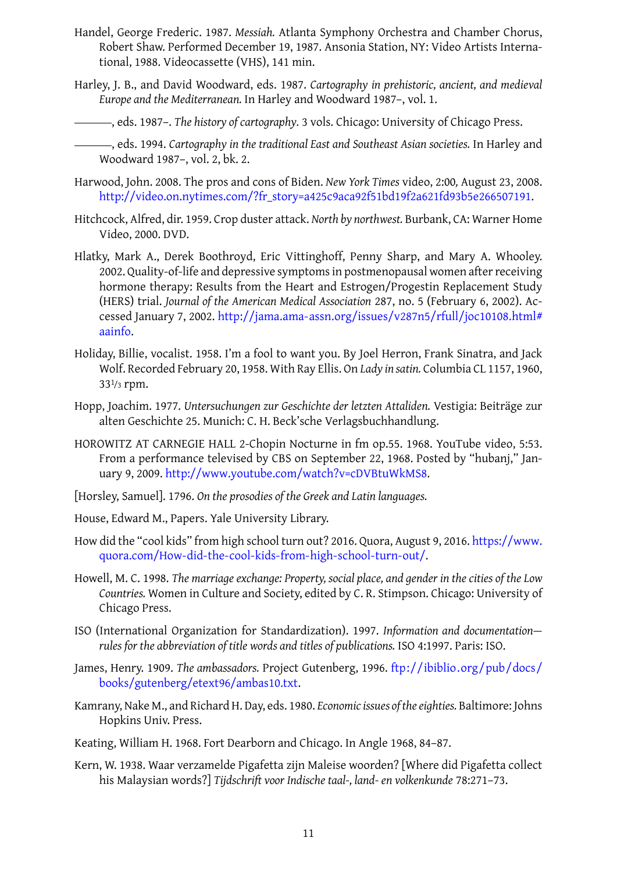- tional, 1988. Videocassette (VHS), 141 min.
- <span id="page-10-5"></span>Harley, J. B., and David Woodward, eds. 1987. *Cartography in prehistoric, ancient, and medieval Europe and the Mediterranean.* In Harley and Woodward 1987–, vol. 1.
- , eds. 1987–. *The history of cartography.* 3 vols. Chicago: University of Chicago Press.
- <span id="page-10-11"></span>, eds. 1994. *Cartography in the traditional East and Sou[theast A](#page-10-16)sian societies.* In Harley and Woodward 1987–, vol. 2, bk. 2.
- <span id="page-10-16"></span><span id="page-10-10"></span>Harwood, John. 2008. The pros and cons of Biden. *New York Times* video, 2:00*,* August 23, 2008. http://video.on.nytimes.com/?fr\_story=a425c9aca92f51bd19f2a621fd93b5e266507191.
- <span id="page-10-13"></span>Hitchcock, Alfre[d, dir.](#page-10-16) 1959. Crop duster attack. *North by northwest.* Burbank, CA: Warner Home Video, 2000. DVD.
- <span id="page-10-14"></span><span id="page-10-3"></span>Hlat[ky, Mark A., Derek Boothroyd, Eric Vittinghoff, Penny Sharp, and Mary A. Whoole](http://video.on.nytimes.com/?fr_story=a425c9aca92f51bd19f2a621fd93b5e266507191)y. 2002. Quality-of-life and depressive symptoms in postmenopausal women after receiving hormone therapy: Results from the Heart and Estrogen/Progestin Replacement Study (HERS) trial. *Journal of the American Medical Association* 287, no. 5 (February 6, 2002). Accessed January 7, 2002. http://jama.ama-assn.org/issues/v287n5/rfull/joc10108.html# aainfo.
- Holiday, Billie, vocalist. 1958. I'm a fool to want you. By Joel Herron, Frank Sinatra, and Jack Wolf. Recorded Februar[y 20, 1958. With Ray Ellis. On](http://jama.ama-assn.org/issues/v287n5/rfull/joc10108.html#aainfo) *Lady in satin.* Columbia CL 1157, 1960, [33](http://jama.ama-assn.org/issues/v287n5/rfull/joc10108.html#aainfo)1/3 rpm.
- <span id="page-10-6"></span>Hopp, Joachim. 1977. *Untersuchungen zur Geschichte der letzten Attaliden.* Vestigia: Beiträge zur alten Geschichte 25. Munich: C. H. Beck'sche Verlagsbuchhandlung.
- <span id="page-10-8"></span>HOROWITZ AT CARNEGIE HALL 2-Chopin Nocturne in fm op.55. 1968. YouTube video, 5:53. From a performance televised by CBS on September 22, 1968. Posted by "hubanj," January 9, 2009. http://www.youtube.com/watch?v=cDVBtuWkMS8.
- <span id="page-10-4"></span>[Horsley, Samuel]. 1796. *On the prosodies of the Greek and Latin languages.*
- House, Edward M.[, Papers. Yale University Library.](http://www.youtube.com/watch?v=cDVBtuWkMS8)
- <span id="page-10-1"></span>How did the "cool kids" from high school turn out? 2016. Quora, August 9, 2016. https://www. quora.com/How-did-the-cool-kids-from-high-school-turn-out/.
- <span id="page-10-15"></span>Howell, M. C. 1998. *The marriage exchange: Property, social place, and gender in the cities of the Low Countries.* Women in Culture and Society, edited by C. R. Stimpson. Chicago[: University of](https://www.quora.com/How-did-the-cool-kids-from-high-school-turn-out/) [Chicago Press.](https://www.quora.com/How-did-the-cool-kids-from-high-school-turn-out/)
- <span id="page-10-9"></span>ISO (International Organization for Standardization). 1997. *Information and documentation rules for the abbreviation of title words and titles of publications.* ISO 4:1997. Paris: ISO.
- <span id="page-10-0"></span>James, Henry. 1909. *The ambassadors.* Project Gutenberg, 1996. ftp://ibiblio.org/pub/docs/ books/gutenberg/etext96/ambas10.txt.
- <span id="page-10-2"></span>Kamrany, Nake M., and Richard H. Day, eds. 1980. *Economic issues of the eighties.* [Baltimore: Johns](ftp://ibiblio.org/pub/docs/books/gutenberg/etext96/ambas10.txt) Hopkins Univ. Press.
- Keat[ing, William H. 1968. Fort Dearborn and](ftp://ibiblio.org/pub/docs/books/gutenberg/etext96/ambas10.txt) Chicago. In Angle 1968, 84–87.
- <span id="page-10-12"></span><span id="page-10-7"></span>Kern, W. 1938. Waar verzamelde Pigafetta zijn Maleise woorden? [Where did Pigafetta collect his Malaysian words?] *Tijdschrift voor Indische taal-, land- e[n volke](#page-6-4)nkunde* 78:271–73.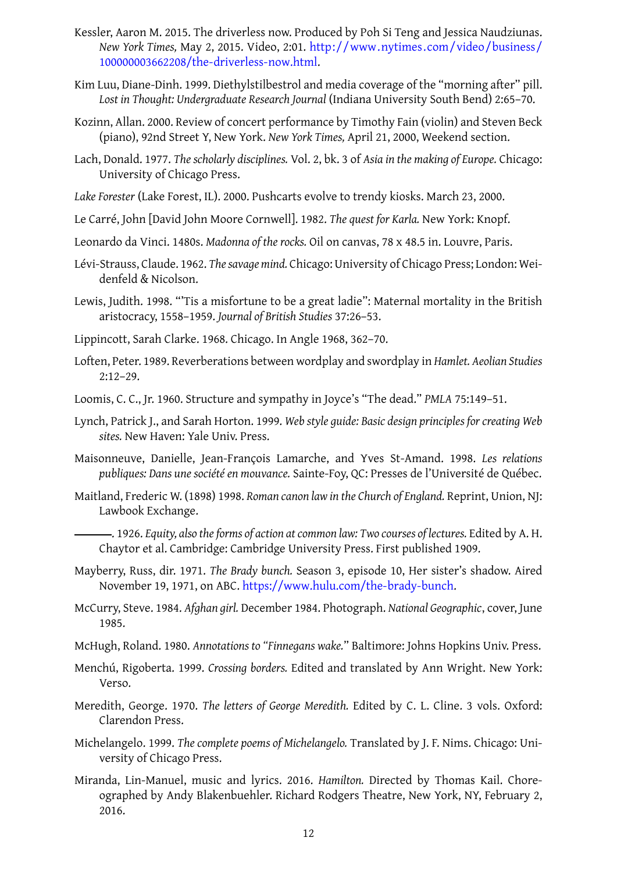- *New York Times,* May 2, 2015. Video, 2:01. http://www.nytimes.com/video/business/ 100000003662208/the-driverless-now.html.
- <span id="page-11-13"></span>Kim Luu, Diane-Dinh. 1999. Diethylstilbestrol and media coverage of the "morning after" pill. *Lost in Thought: Undergraduate Research Journal* [\(Indiana University South Bend\) 2:65–70.](http://www.nytimes.com/video/business/100000003662208/the-driverless-now.html)
- Kozi[nn, Allan. 2000. Review of concert performan](http://www.nytimes.com/video/business/100000003662208/the-driverless-now.html)ce by Timothy Fain (violin) and Steven Beck (piano), 92nd Street Y, New York. *New York Times,* April 21, 2000, Weekend section.
- Lach, Donald. 1977. *The scholarly disciplines.* Vol. 2, bk. 3 of *Asia in the making of Europe.* Chicago: University of Chicago Press.
- *Lake Forester* (Lake Forest, IL). 2000. Pushcarts evolve to trendy kiosks. March 23, 2000.
- <span id="page-11-4"></span>Le Carré, John [David John Moore Cornwell]. 1982. *The quest for Karla.* New York: Knopf.
- <span id="page-11-2"></span>Leonardo da Vinci. 1480s. *Madonna of the rocks.* Oil on canvas, 78 x 48.5 in. Louvre, Paris.
- <span id="page-11-5"></span>Lévi-Strauss, Claude. 1962. *The savage mind.* Chicago: University of Chicago Press; London: Weidenfeld & Nicolson.
- <span id="page-11-6"></span><span id="page-11-3"></span>Lewis, Judith. 1998. ["'Tis](#page-11-3) a misfortune to be a great ladie": Maternal mortality in the British aristocracy, 1558–1959. *Journal of British Studies* 37:26–53.
- Lippincott, Sarah Clarke. 1968. Chicago. In Angle 1968, 362–70.
- Loften, Peter. 1989. Reverberations between wordplay and swordplay in *Hamlet. Aeolian Studies* 2:12–29.
- Loomis, C. C., Jr. 1960. Structure and sympathy in [Joyc](#page-6-4)e's "The dead." *PMLA* 75:149–51.
- Lynch, Patrick J., and Sarah Horton. 1999. *Web style guide: Basic design principles for creating Web sites.* New Haven: Yale Univ. Press.
- <span id="page-11-7"></span>Maisonneuve, Danielle, Jean-François Lamarche, and Yves St-Amand. 1998. *Les relations publiques: Dans une société en mouvance.* Sainte-Foy, QC: Presses de l'Université de Québec.
- <span id="page-11-8"></span>Maitland, Frederic W. (1898) 1998. *Roman canon law in the Church of England.* Reprint, Union, NJ: Lawbook Exchange.
	- . 1926. *Equity, also the forms of action at common law: Two courses of lectures.* Edited by A. H. Chaytor et al. Cambridge: Cambridge University Press. First published 1909.
- <span id="page-11-1"></span><span id="page-11-0"></span>Mayberry, Russ, dir. 1971. *The Brady bunch.* Season 3, episode 10, Her sister's shadow. Aired November 19, 1971, on ABC. https://www.hulu.com/the-brady-bunch.
- McCurry, Steve. 1984. *Afghan girl.* December 1984. Photograph. *National Geographic*, cover, June 1985.
- McHugh, Roland. 1980. *Annotations to "Finnegans wake.*[" Baltimore: Johns Hop](https://www.hulu.com/the-brady-bunch)kins Univ. Press.
- <span id="page-11-14"></span>Menchú, Rigob[erta. 1](#page-11-14)999. *Crossing borders.* Edited and translated by Ann Wright. New York: Verso.
- <span id="page-11-10"></span><span id="page-11-9"></span>Meredith, George. 1970. *The letters of George Meredith.* Edited by C. L. Cline. 3 vols. Oxford: Clarendon Press.
- <span id="page-11-11"></span>Michelangelo. 1999. *The complete poems of Michelangelo.* Translated by J. F. Nims. Chicago: University of Chicago Press.
- <span id="page-11-15"></span><span id="page-11-12"></span>Miranda, Lin-Manuel, music and lyrics. 2016. *Hamilton.* Directed by Thomas Kail. Choreographed by Andy Blakenbuehler. Richard Rodgers Theatre, New York, NY, February 2, 2016.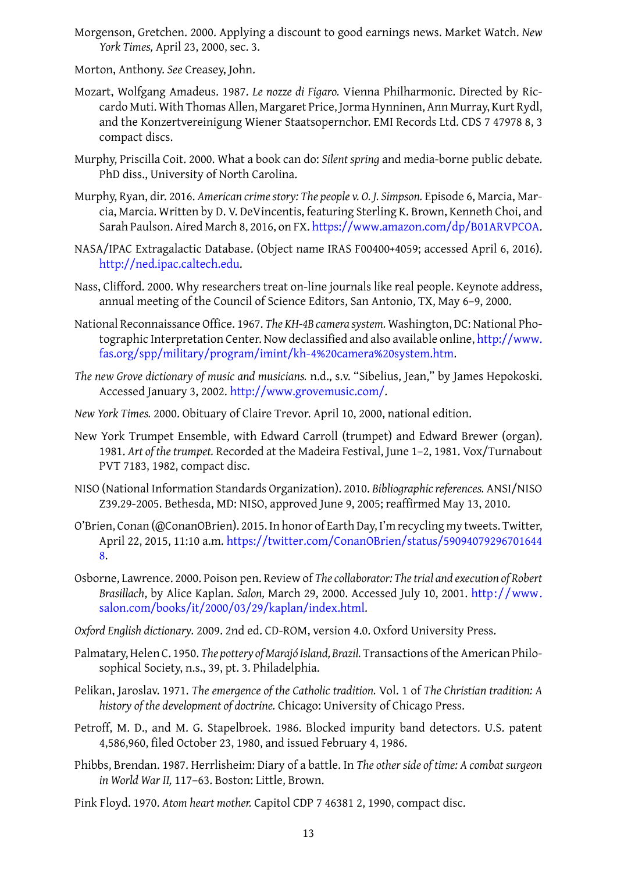Morton, Anthony. *See* Creasey, John.

*York Times,* April 23, 2000, sec. 3.

- <span id="page-12-3"></span>Mozart, Wolfgang Amadeus. 1987. *Le nozze di Figaro.* Vienna Philharmonic. Directed by Riccardo Muti. With Thomas Allen, Margaret Price, Jorma Hynninen, Ann Murray, Kurt Rydl, and the Konzertvereinigung Wiener Staatsopernchor. EMI Records Ltd. CDS 7 47978 8, 3 compact discs.
- <span id="page-12-9"></span>Murphy, Priscilla Coit. 2000. What a book can do: *Silent spring* and media-borne public debate*.* PhD diss., University of North Carolina.
- <span id="page-12-11"></span>Murphy, Ryan, dir. 2016. *American crime story: The people v. O. J. Simpson.* Episode 6, Marcia, Marcia, Marcia. Written by D. V. DeVincentis, featuring Sterling K. Brown, Kenneth Choi, and Sarah Paulson. Aired March 8, 2016, on FX. https://www.amazon.com/dp/B01ARVPCOA.
- NASA/IPAC Extragalactic Database. (Object name IRAS F00400+4059; accessed April 6, 2016). http://ned.ipac.caltech.edu.
- <span id="page-12-13"></span>Nass, Clifford. 2000. Why researchers treat on-l[ine journals like real people. Keynote address](https://www.amazon.com/dp/B01ARVPCOA), annual meeting of the Council of Science Editors, San Antonio, TX, May 6–9, 2000.
- <span id="page-12-12"></span>Nati[onal Reconnaissance Office. 1](http://ned.ipac.caltech.edu)967. *The KH-4B camera system.* Washington, DC: National Photographic Interpretation Center. Now declassified and also available online, http://www. fas.org/spp/military/program/imint/kh-4%20camera%20system.htm.
- <span id="page-12-5"></span>*The new Grove dictionary of music and musicians.* n.d., s.v. "Sibelius, Jean," by Jam[es Hepokoski.](http://www.fas.org/spp/military/program/imint/kh-4%20camera%20system.htm) Accessed January 3, 2002. http://www.grovemusic.com/.
- *New York Times.* [2000. Obituary of Claire Trevor. April 10, 2000, national editi](http://www.fas.org/spp/military/program/imint/kh-4%20camera%20system.htm)on.
- <span id="page-12-0"></span>New York Trumpet Ensemble, [with Edward Carroll \(trumpet](http://www.grovemusic.com/)) and Edward Brewer (organ). 1981. *Art of the trumpet.* Recorded at the Madeira Festival, June 1–2, 1981. Vox/Turnabout PVT 7183, 1982, compact disc.
- <span id="page-12-2"></span><span id="page-12-1"></span>NISO (National Information Standards Organization). 2010. *Bibliographic references.* ANSI/NISO Z39.29-2005. Bethesda, MD: NISO, approved June 9, 2005; reaffirmed May 13, 2010.
- <span id="page-12-15"></span>O'Brien, Conan (@ConanOBrien). 2015. In honor of Earth Day, I'm recycling my tweets. Twitter, April 22, 2015, 11:10 a.m. https://twitter.com/C[onanO](#page-12-15)Brien/status/59094079296701644 8.
- <span id="page-12-14"></span>Osborne, Lawrence. 2000. Poison pen. Review of *The collaborator: The trial and execution of Robert Brasillach*, by Alice Kaplan. *Salon,* [March 29, 2000. Accessed July 10, 2001.](https://twitter.com/ConanOBrien/status/590940792967016448) http://www. [sa](https://twitter.com/ConanOBrien/status/590940792967016448)lon.com/books/it/2000/03/29/kaplan/index.html.
- <span id="page-12-4"></span>*Oxford English dictionary.* 2009. 2nd ed. CD-ROM, version 4.0. Oxford University Press.
- Palmatary, Helen C. 1950. *The pottery of Marajó Island, Brazil*. Transactions of the A[merican Philo](http://www.salon.com/books/it/2000/03/29/kaplan/index.html)[sophical Society, n.s., 39, pt. 3. Philadelphia.](http://www.salon.com/books/it/2000/03/29/kaplan/index.html)
- <span id="page-12-6"></span>Pelikan, Jaroslav. 1971. *The emergence of the Catholic tradition.* Vol. 1 of *The Christian tradition: A history of the development of doctrine.* Chicago: University of Chicago Press.
- <span id="page-12-7"></span>Petroff, M. D., and M. G. Stapelbroek. 1986. Blocked impurity band detectors. U.S. patent 4,586,960, filed October 23, 1980, and issued February 4, 1986.
- <span id="page-12-10"></span>Phibbs, Brendan. 1987. Herrlisheim: Diary of a battle. In *The other side of time: A combat surgeon in World War II,* 117–63. Boston: Litt[le, Br](#page-12-10)own.
- <span id="page-12-8"></span>Pink Floyd. 1970. *Atom heart mother.* Capitol CDP 7 46381 2, 1990, compact disc.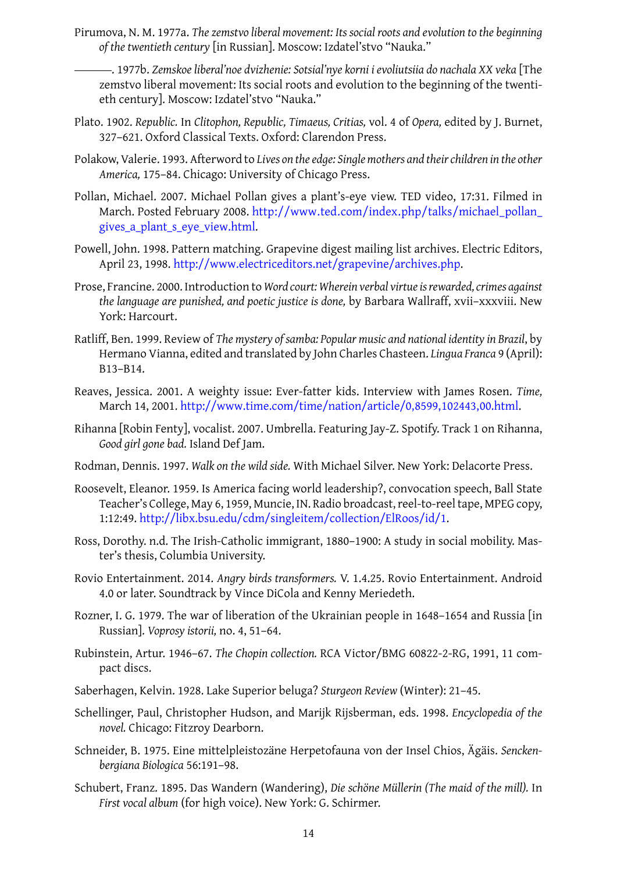- <span id="page-13-0"></span>*of the twentieth century* [in Russian]. Moscow: Izdatel'stvo "Nauka."
	- . 1977b. *Zemskoe liberal'noe dvizhenie: Sotsial'nye korni i evoliutsiia do nachala XX veka* [The zemstvo liberal movement: Its social roots and evolution to the beginning of the twentieth century]. Moscow: Izdatel'stvo "Nauka."
- <span id="page-13-1"></span>Plato. 1902. *Republic.* In *Clitophon, Republic, Timaeus, Critias,* vol. 4 of *Opera,* edited by J. Burnet, 327–621. Oxford Classical Texts. Oxford: Clarendon Press.
- <span id="page-13-3"></span>Polakow, Valerie. 1993. Afterword to *Lives on the edge: Single mothers and their children in the other America,* 175–84. Chicago: University of Chicago Press.
- <span id="page-13-11"></span>Pollan, Michael. 2007. Michael Pollan gives a plant's-eye view. TED video, 17:31. Filmed in March. Posted February 2008. http://www.ted.com/index.php/talks/michael\_pollan\_ gives\_a\_plant\_s\_eye\_view.html.
- <span id="page-13-5"></span>Powell, John. 1998. Pattern matching. Grapevine digest mailing list archives. Electric Editors, April 23, 1998. http://www.el[ectriceditors.net/grapevine/archives.php.](http://www.ted.com/index.php/talks/michael_pollan_gives_a_plant_s_eye_view.html)
- <span id="page-13-10"></span>Pros[e, Francine. 2000. Introduction to](http://www.ted.com/index.php/talks/michael_pollan_gives_a_plant_s_eye_view.html) *Word court: Wherein verbal virtue is rewarded, crimes against the language ar[e punished, and poetic justice is done,](http://www.electriceditors.net/grapevine/archives.php)* by Barbara Wallraff, xvii–xxxviii. New York: Harcourt.
- Ratliff, Ben. 1999. Review of *The mystery of samba: Popular music and national identity in Brazil*, by Hermano Vianna, edited and translated by John Charles Chasteen. *Lingua Franca* 9 (April): B13–B14.
- Reaves, Jessica. 2001. A weighty issue: Ever-fatter kids. Interview with James Rosen. *Time,* March 14, 2001. http://www.time.com/time/nation/article/0,8599,102443,00.html.
- <span id="page-13-6"></span>Rihanna [Robin Fenty], vocalist. 2007. Umbrella. Featuring Jay-Z. Spotify. Track 1 on Rihanna, *Good girl gone bad.* Island Def Jam.
- Rodman, Dennis. 1997. *Walk on the wild side.* [With Michael Silver. New York: Delacorte Pre](http://www.time.com/time/nation/article/0,8599,102443,00.html)ss.
- <span id="page-13-14"></span>Roosevelt, Eleanor. 1959. Is America facing world leadership?, convocation speech, Ball State Teacher's College, May 6, 1959, Muncie, IN. Radio broadcast, reel-to-reel tape, MPEG copy, 1:12:49. http://libx.bsu.edu/cdm/singleitem/collection/ElRoos/id/1.
- <span id="page-13-9"></span><span id="page-13-7"></span>Ross, Dorothy. n.d. The Irish-Catholic immigrant, 1880–1900: A study in social mobility. Master's thesis, Columbia University.
- <span id="page-13-2"></span>Rovio Entertainment. 2014. *[Angry birds transformers.](http://libx.bsu.edu/cdm/singleitem/collection/ElRoos/id/1)* V. 1.4.25. Rovio Entertainment. Android 4.0 or later. Soundtrack by Vince DiCola and Kenny Meriedeth.
- <span id="page-13-13"></span>Rozner, I. G. 1979. The war of liberation of the Ukrainian people in 1648–1654 and Russia [in Russian]. *Voprosy istorii,* no. 4, 51–64.
- Rubinstein, Artur. 1946–67. *The Chopin collection.* RCA Victor/BMG 60822-2-RG, 1991, 11 compact discs.
- Saberhagen, Kelvin. 1928. Lake Superior beluga? *Sturgeon Review* (Winter): 21–45.
- Schellinger, Paul, Christopher Hudson, and Marijk Rijsberman, eds. 1998. *Encyclopedia of the novel.* Chicago: Fitzroy Dearborn.
- <span id="page-13-12"></span><span id="page-13-8"></span>Schneider, B. 1975. Eine mittelpleistozäne Herpetofauna von der Insel Chios, Ägäis. *Senckenbergiana Biologica* 56:191–98.
- <span id="page-13-4"></span>Schubert, Franz. 1895. Das Wandern (Wandering), *Die schöne Müllerin (The maid of the mill).* In *First vocal album* (for high voice). New York: G. Schirmer.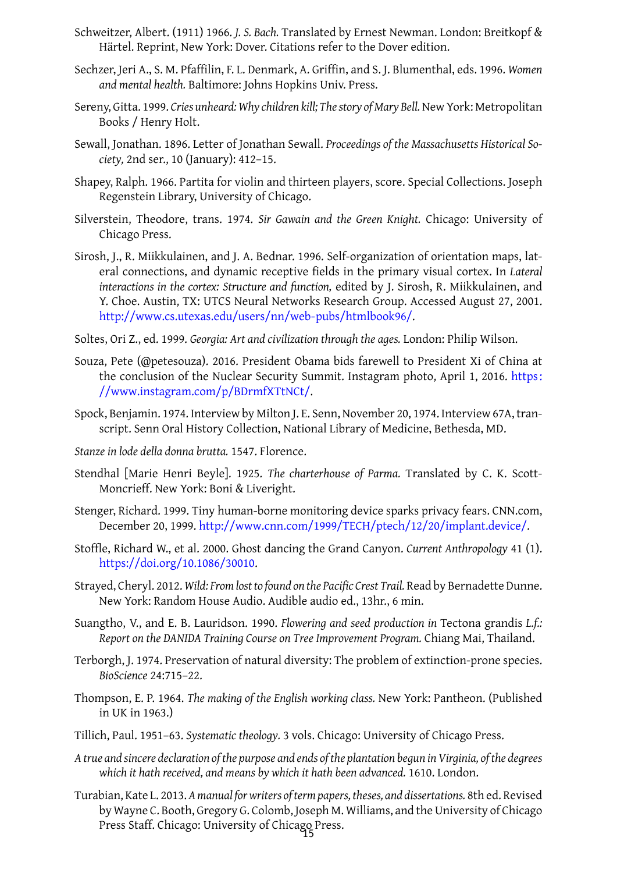- Härtel. Reprint, New York: Dover. Citations refer to the Dover edition.
- Sechzer, Jeri A., S. M. Pfaffilin, F. L. Denmark, A. Griffin, and S. J. Blumenthal, eds. 1996. *Women and mental health.* Baltimore: Johns Hopkins Univ. Press.
- <span id="page-14-7"></span>Sereny, Gitta. 1999. *Cries unheard: Why children kill; The story of Mary Bell.* New York: Metropolitan Books / Henry Holt.
- <span id="page-14-8"></span>Sewall, Jonathan. 1896. Letter of Jonathan Sewall. *Proceedings of the Massachusetts Historical Society,* 2nd ser., 10 (January): 412–15.
- Shapey, Ralph. 1966. Partita for violin and thirteen players, score. Special Collections. Joseph Regenstein Library, University of Chicago.
- <span id="page-14-4"></span>Silverstein, Theodore, trans. 1974. *Sir Gawain and the Green Knight.* Chicago: University of Chicago Press.
- <span id="page-14-0"></span>Sirosh, J., R. Miikkulainen, and J. A. Bednar. 1996. Self-organization of orientation maps, lateral connections, and dynamic receptive fields in the primary visual cortex. In *Lateral interactions in the cortex: Structure and function,* edited by J. Sirosh, R. Miikkulainen, and Y. Choe. Austin, TX: UTCS Neural Networks Research Group. Accessed August 27, 2001. http://www.cs.utexas.edu/users/nn/web-pubs/htmlbook96/.
- <span id="page-14-11"></span>Soltes, Ori Z., ed. 1999. *Georgia: Art and civilization through the ages.* London: Philip Wilson.
- Souz[a, Pete \(@petesouza\). 2016. President Obama bids farewell to](http://www.cs.utexas.edu/users/nn/web-pubs/htmlbook96/) President Xi of China at the conclusion of the Nuclear Security Summit. Instagram photo, April 1, 2016. https: //www.instagram.com/p/BDrmfXTtNCt/.
- Spock, Benjamin. 1974. Interview by Milton J. E. Senn, November 20, 1974. Interview 67[A, tran](https://www.instagram.com/p/BDrmfXTtNCt/)script. Senn Oral History Collection, National Library of Medicine, Bethesda, MD.
- *Stan[ze in lode della donna brutta.](https://www.instagram.com/p/BDrmfXTtNCt/)* 1547. Florence.
- Stendhal [Marie Henri Beyle]. 1925. *The charterhouse of Parma.* Translated by C. K. Scott-Moncrieff. New York: Boni & Liveright.
- <span id="page-14-3"></span><span id="page-14-1"></span>Stenger, Richard. 1999. Tiny human-borne monitoring device sparks privacy fears. CNN.com, December 20, 1999. http://www.cnn.com/1999/TECH/ptech/12/20/implant.device/.
- <span id="page-14-5"></span>Stoffle, Richard W., et al. 2000. Ghost dancing the Grand Canyon. *Current Anthropology* 41 (1). https://doi.org/10.1086/30010.
- <span id="page-14-12"></span>Strayed, Cheryl. 2012. *Wi[ld: From lost to found on the Pacific Crest Trail.](http://www.cnn.com/1999/TECH/ptech/12/20/implant.device/)* Read by Bernadette Dunne. New York: Random House Audio. Audible audio ed., 13hr., 6 min.
- <span id="page-14-13"></span>Sua[ngtho, V., and E. B. Lauridson. 1](https://doi.org/10.1086/30010)990. *Flowering and seed production in* Tectona grandis *L.f.: Report on the DANIDA Training Course on Tree Improvement Program.* Chiang Mai, Thailand.
- <span id="page-14-9"></span>Terborgh, J. 1974. Preservation of natural diversity: The problem of extinction-prone species. *BioScience* 24:715–22.
- <span id="page-14-6"></span>Thompson, E. P. 1964. *The making of the English working class.* New York: Pantheon. (Published in UK in 1963.)
- Tillich, Paul. 1951–63. *Systematic theology.* 3 vols. Chicago: University of Chicago Press.
- *A true and sincere declaration of the purpose and ends of the plantation begun in Virginia, of the degrees which it hath received, and means by which it hath been advanced.* 1610. London.
- <span id="page-14-10"></span><span id="page-14-2"></span>Turabian, Kate L. 2013. *A manual for writers of term papers, theses, and dissertations.* 8th ed. Revised by Wayne C. Booth, Gregory G. Colomb, Joseph M. Williams, and the University of Chicago Press Staff. Chicago: University of Chicago Press. 15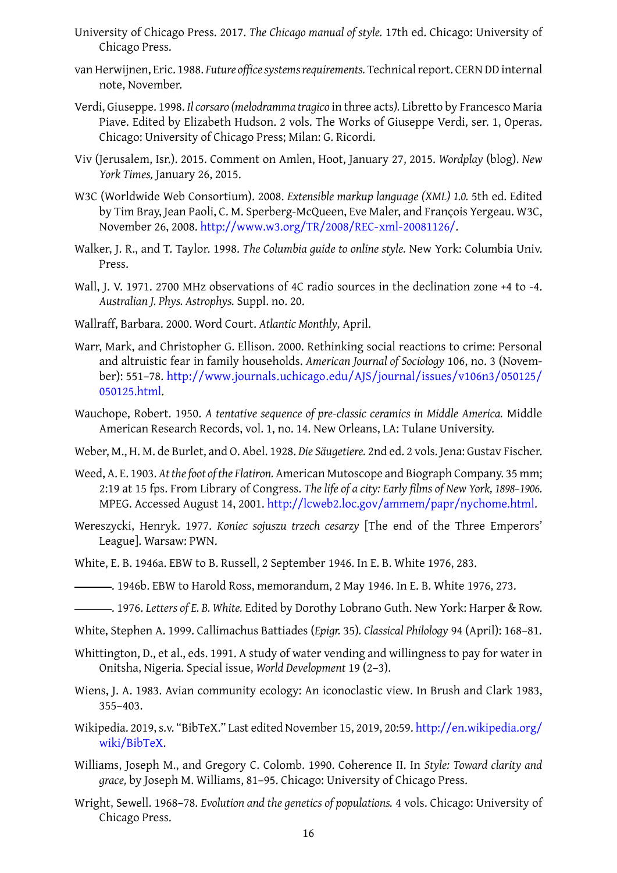- Chicago Press.
- <span id="page-15-0"></span>van Herwijnen, Eric. 1988. *Future office systems requirements.* Technical report. CERN DD internal note, November.
- <span id="page-15-17"></span>Verdi, Giuseppe. 1998. *Il corsaro (melodramma tragico* in three acts*).* Libretto by Francesco Maria Piave. Edited by Elizabeth Hudson. 2 vols. The Works of Giuseppe Verdi, ser. 1, Operas. Chicago: University of Chicago Press; Milan: G. Ricordi.
- <span id="page-15-4"></span>Viv (Jerusalem, Isr.). 2015. Comment on Amlen, Hoot, January 27, 2015. *Wordplay* (blog). *New York Times,* January 26, 2015.
- W3C (Worldwide Web Consortium). 2008. *Extensible markup language (XML) 1.0.* 5th ed. Edited by Tim Bray, Jean Paoli, C. M. Sperberg-McQueen, Eve Maler, and François Yergeau. W3C, November 26, 2008. http://www.w3.org/TR/2008/REC-xml-20081126/.
- Walker, J. R., and T. Taylor. 1998. *The Columbia guide to online style.* New York: Columbia Univ. Press.
- <span id="page-15-9"></span>Wall, J. V. 1971. 2700 MH[z observations of 4C radio sources in the declinati](http://www.w3.org/TR/2008/REC-xml-20081126/)on zone +4 to -4. *Australian J. Phys. Astrophys.* Suppl. no. 20.
- <span id="page-15-5"></span>Wallraff, Barbara. 2000. Word Court. *Atlantic Monthly,* April.
- Warr, Mark, and Christopher G. Ellison. 2000. Rethinking social reactions to crime: Personal and altruistic fear in family households. *American Journal of Sociology* 106, no. 3 (November): 551–78. http://www.journals.uchicago.edu/AJS/journal/issues/v106n3/050125/ 050125.html.
- <span id="page-15-6"></span>Wauchope, Robert. 1950. *A tentative sequence of pre-classic ceramics in Middle America.* Middle American Re[search Records, vol. 1, no. 14. New Orleans, LA: Tulane University.](http://www.journals.uchicago.edu/AJS/journal/issues/v106n3/050125/050125.html)
- <span id="page-15-10"></span>Web[er, M., H. M. d](http://www.journals.uchicago.edu/AJS/journal/issues/v106n3/050125/050125.html)e Burlet, and O. Abel. 1928. *Die Säugetiere.* 2nd ed. 2 vols. Jena: Gustav Fischer.
- Weed, A. E. 1903. *At the foot of the Flatiron.* American Mutoscope and Biograph Company. 35 mm; 2:19 at 15 fps. From Library of Congress. *The life of a city: Early films of New York, 1898–1906.* MPEG. Accessed August 14, 2001. http://lcweb2.loc.gov/ammem/papr/nychome.html.
- <span id="page-15-11"></span><span id="page-15-8"></span>Wereszycki, Henryk. 1977. *Koniec sojuszu trzech cesarzy* [The end of the Three Emperors' League]. Warsaw: PWN.
- White, E. B. 1946a. EBW to B. Russell, [2 September 1946. In E. B. White](http://lcweb2.loc.gov/ammem/papr/nychome.html) 1976, 283.
- <span id="page-15-12"></span>. 1946b. EBW to Harold Ross, memorandum, 2 May 1946. In E. B. White 1976, 273.
- <span id="page-15-1"></span>. 1976. *Letters of E. B. White.* Edited by Dorothy Lobrano Guth. N[ew Yo](#page-15-13)rk: Harper & Row.
- <span id="page-15-2"></span>White, Stephen A. 1999. Callimachus Battiades (*Epigr.* 35)*. Classical Philology* 94 [\(Apri](#page-15-13)l): 168–81.
- <span id="page-15-13"></span>Whittington, D., et al., eds. 1991. A study of water vending and willingness to pay for water in Onitsha, Nigeria. Special issue, *World Development* 19 (2–3).
- <span id="page-15-16"></span><span id="page-15-7"></span>Wiens, J. A. 1983. Avian community ecology: An iconoclastic view. In Brush and Clark 1983, 355–403.
- <span id="page-15-15"></span>Wikipedia. 2019, s.v. "BibTeX." Last edited November 15, 2019, 20:59. http://en.wikipedia[.org/](#page-7-11) wiki/BibTeX.
- <span id="page-15-3"></span>Williams, Joseph M., and Gregory C. Colomb. 1990. Coherence II. In *Style: Toward clarity and grace,* by Joseph M. Williams, 81–95. Chicago: University of Chi[cago Press.](http://en.wikipedia.org/wiki/BibTeX)
- <span id="page-15-14"></span>Wrig[ht, Sewell. 19](http://en.wikipedia.org/wiki/BibTeX)68–78. *Evolution and the genetics of populations.* 4 vols. Chicago: University of Chicago Press.